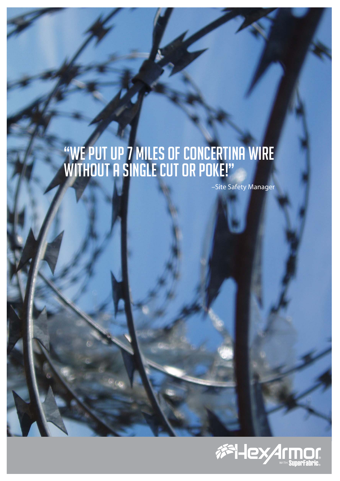# "We put up 7 miles of Concertina wire without a single cut or poke!"

–Site Safety Manager